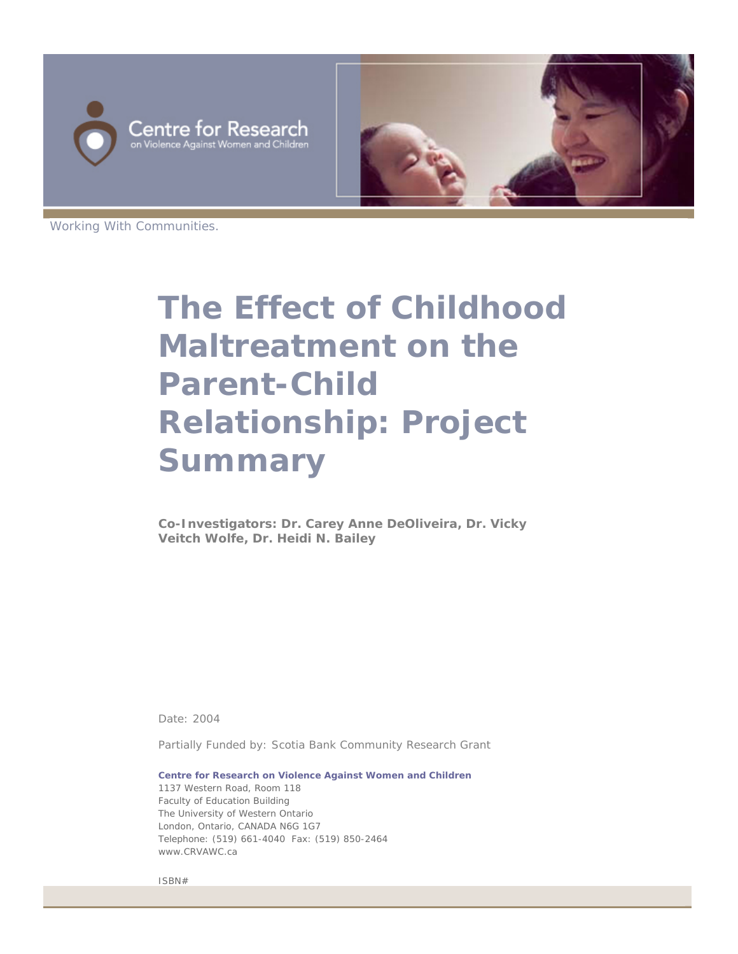



Working With Communities.

# **The Effect of Childhood Maltreatment on the Parent-Child Relationship: Project Summary**

**Co-Investigators: Dr. Carey Anne DeOliveira, Dr. Vicky Veitch Wolfe, Dr. Heidi N. Bailey** 

Date: 2004

Partially Funded by: Scotia Bank Community Research Grant

**Centre for Research on Violence Against Women and Children** 1137 Western Road, Room 118 Faculty of Education Building The University of Western Ontario London, Ontario, CANADA N6G 1G7 Telephone: (519) 661-4040 Fax: (519) 850-2464 www.CRVAWC.ca

ISBN#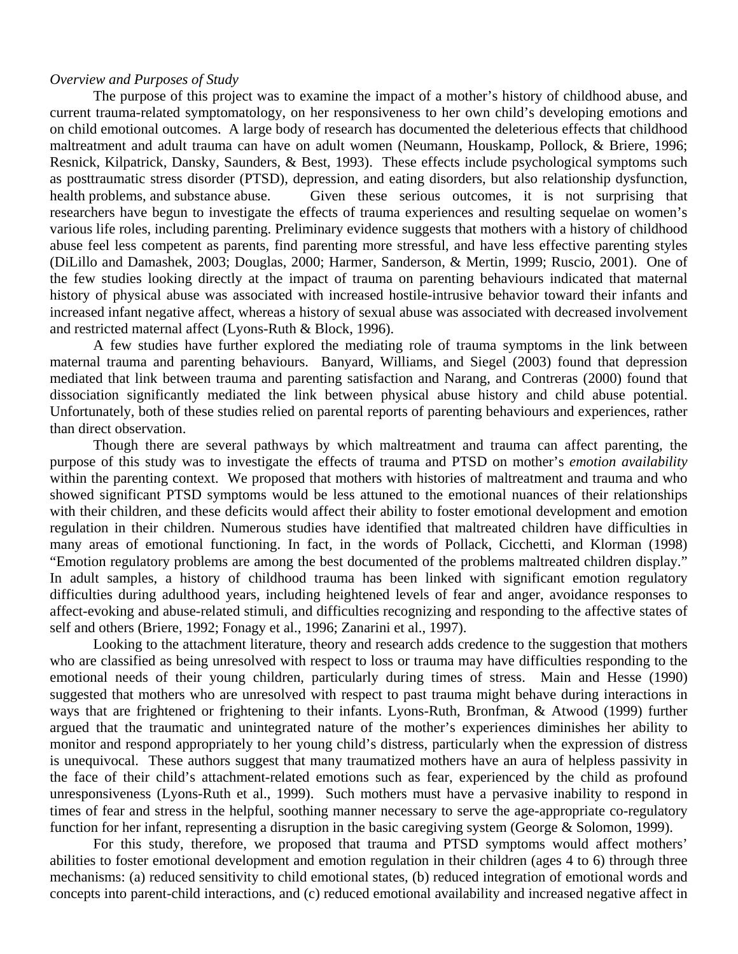## *Overview and Purposes of Study*

The purpose of this project was to examine the impact of a mother's history of childhood abuse, and current trauma-related symptomatology, on her responsiveness to her own child's developing emotions and on child emotional outcomes. A large body of research has documented the deleterious effects that childhood maltreatment and adult trauma can have on adult women (Neumann, Houskamp, Pollock, & Briere, 1996; Resnick, Kilpatrick, Dansky, Saunders, & Best, 1993). These effects include psychological symptoms such as posttraumatic stress disorder (PTSD), depression, and eating disorders, but also relationship dysfunction, health problems, and substance abuse. Given these serious outcomes, it is not surprising that researchers have begun to investigate the effects of trauma experiences and resulting sequelae on women's various life roles, including parenting. Preliminary evidence suggests that mothers with a history of childhood abuse feel less competent as parents, find parenting more stressful, and have less effective parenting styles (DiLillo and Damashek, 2003; Douglas, 2000; Harmer, Sanderson, & Mertin, 1999; Ruscio, 2001). One of the few studies looking directly at the impact of trauma on parenting behaviours indicated that maternal history of physical abuse was associated with increased hostile-intrusive behavior toward their infants and increased infant negative affect, whereas a history of sexual abuse was associated with decreased involvement and restricted maternal affect (Lyons-Ruth & Block, 1996).

A few studies have further explored the mediating role of trauma symptoms in the link between maternal trauma and parenting behaviours. Banyard, Williams, and Siegel (2003) found that depression mediated that link between trauma and parenting satisfaction and Narang, and Contreras (2000) found that dissociation significantly mediated the link between physical abuse history and child abuse potential. Unfortunately, both of these studies relied on parental reports of parenting behaviours and experiences, rather than direct observation.

Though there are several pathways by which maltreatment and trauma can affect parenting, the purpose of this study was to investigate the effects of trauma and PTSD on mother's *emotion availability* within the parenting context. We proposed that mothers with histories of maltreatment and trauma and who showed significant PTSD symptoms would be less attuned to the emotional nuances of their relationships with their children, and these deficits would affect their ability to foster emotional development and emotion regulation in their children. Numerous studies have identified that maltreated children have difficulties in many areas of emotional functioning. In fact, in the words of Pollack, Cicchetti, and Klorman (1998) "Emotion regulatory problems are among the best documented of the problems maltreated children display." In adult samples, a history of childhood trauma has been linked with significant emotion regulatory difficulties during adulthood years, including heightened levels of fear and anger, avoidance responses to affect-evoking and abuse-related stimuli, and difficulties recognizing and responding to the affective states of self and others (Briere, 1992; Fonagy et al., 1996; Zanarini et al., 1997).

Looking to the attachment literature, theory and research adds credence to the suggestion that mothers who are classified as being unresolved with respect to loss or trauma may have difficulties responding to the emotional needs of their young children, particularly during times of stress. Main and Hesse (1990) suggested that mothers who are unresolved with respect to past trauma might behave during interactions in ways that are frightened or frightening to their infants. Lyons-Ruth, Bronfman, & Atwood (1999) further argued that the traumatic and unintegrated nature of the mother's experiences diminishes her ability to monitor and respond appropriately to her young child's distress, particularly when the expression of distress is unequivocal. These authors suggest that many traumatized mothers have an aura of helpless passivity in the face of their child's attachment-related emotions such as fear, experienced by the child as profound unresponsiveness (Lyons-Ruth et al., 1999). Such mothers must have a pervasive inability to respond in times of fear and stress in the helpful, soothing manner necessary to serve the age-appropriate co-regulatory function for her infant, representing a disruption in the basic caregiving system (George & Solomon, 1999).

For this study, therefore, we proposed that trauma and PTSD symptoms would affect mothers' abilities to foster emotional development and emotion regulation in their children (ages 4 to 6) through three mechanisms: (a) reduced sensitivity to child emotional states, (b) reduced integration of emotional words and concepts into parent-child interactions, and (c) reduced emotional availability and increased negative affect in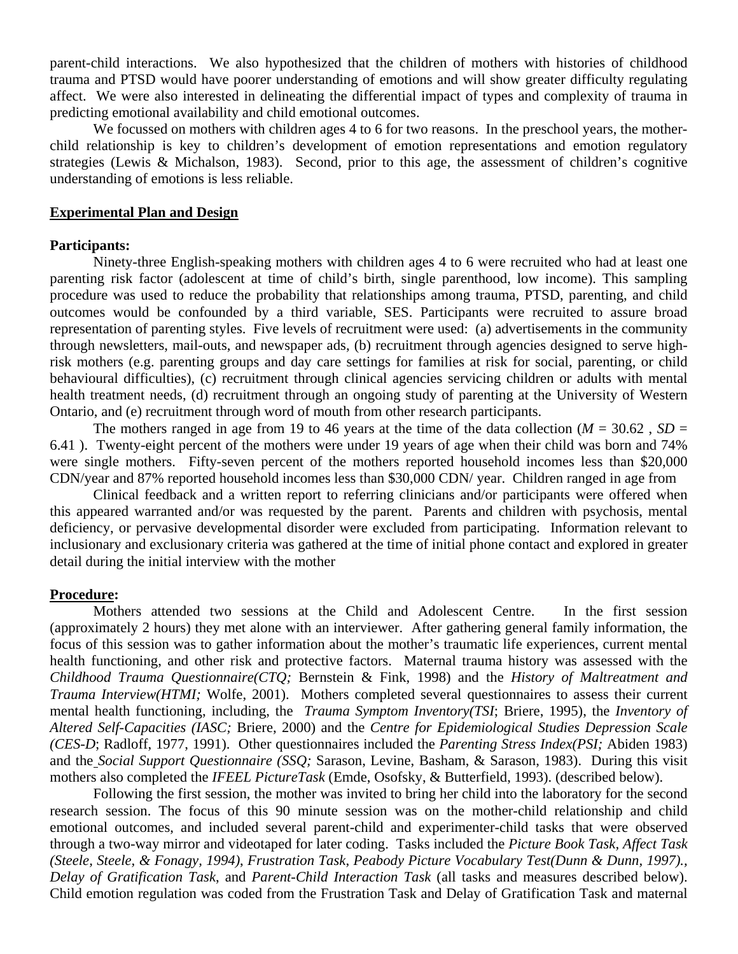parent-child interactions. We also hypothesized that the children of mothers with histories of childhood trauma and PTSD would have poorer understanding of emotions and will show greater difficulty regulating affect. We were also interested in delineating the differential impact of types and complexity of trauma in predicting emotional availability and child emotional outcomes.

We focussed on mothers with children ages 4 to 6 for two reasons. In the preschool years, the motherchild relationship is key to children's development of emotion representations and emotion regulatory strategies (Lewis & Michalson, 1983). Second, prior to this age, the assessment of children's cognitive understanding of emotions is less reliable.

#### **Experimental Plan and Design**

## **Participants:**

Ninety-three English-speaking mothers with children ages 4 to 6 were recruited who had at least one parenting risk factor (adolescent at time of child's birth, single parenthood, low income). This sampling procedure was used to reduce the probability that relationships among trauma, PTSD, parenting, and child outcomes would be confounded by a third variable, SES. Participants were recruited to assure broad representation of parenting styles. Five levels of recruitment were used: (a) advertisements in the community through newsletters, mail-outs, and newspaper ads, (b) recruitment through agencies designed to serve highrisk mothers (e.g. parenting groups and day care settings for families at risk for social, parenting, or child behavioural difficulties), (c) recruitment through clinical agencies servicing children or adults with mental health treatment needs, (d) recruitment through an ongoing study of parenting at the University of Western Ontario, and (e) recruitment through word of mouth from other research participants.

The mothers ranged in age from 19 to 46 years at the time of the data collection ( $M = 30.62$ ,  $SD =$ 6.41 ). Twenty-eight percent of the mothers were under 19 years of age when their child was born and 74% were single mothers. Fifty-seven percent of the mothers reported household incomes less than \$20,000 CDN/year and 87% reported household incomes less than \$30,000 CDN/ year. Children ranged in age from

Clinical feedback and a written report to referring clinicians and/or participants were offered when this appeared warranted and/or was requested by the parent. Parents and children with psychosis, mental deficiency, or pervasive developmental disorder were excluded from participating. Information relevant to inclusionary and exclusionary criteria was gathered at the time of initial phone contact and explored in greater detail during the initial interview with the mother

#### **Procedure:**

Mothers attended two sessions at the Child and Adolescent Centre. In the first session (approximately 2 hours) they met alone with an interviewer. After gathering general family information, the focus of this session was to gather information about the mother's traumatic life experiences, current mental health functioning, and other risk and protective factors. Maternal trauma history was assessed with the *Childhood Trauma Questionnaire(CTQ;* Bernstein & Fink, 1998) and the *History of Maltreatment and Trauma Interview(HTMI;* Wolfe, 2001). Mothers completed several questionnaires to assess their current mental health functioning, including, the *Trauma Symptom Inventory(TSI*; Briere, 1995), the *Inventory of Altered Self-Capacities (IASC;* Briere, 2000) and the *Centre for Epidemiological Studies Depression Scale (CES-D*; Radloff, 1977, 1991). Other questionnaires included the *Parenting Stress Index(PSI;* Abiden 1983) and the *Social Support Questionnaire (SSQ;* Sarason, Levine, Basham, & Sarason, 1983). During this visit mothers also completed the *IFEEL PictureTask* (Emde, Osofsky, & Butterfield, 1993). (described below).

Following the first session, the mother was invited to bring her child into the laboratory for the second research session. The focus of this 90 minute session was on the mother-child relationship and child emotional outcomes, and included several parent-child and experimenter-child tasks that were observed through a two-way mirror and videotaped for later coding. Tasks included the *Picture Book Task, Affect Task (Steele, Steele, & Fonagy, 1994)*, *Frustration Task*, *Peabody Picture Vocabulary Test(Dunn & Dunn, 1997)., Delay of Gratification Task*, and *Parent-Child Interaction Task* (all tasks and measures described below). Child emotion regulation was coded from the Frustration Task and Delay of Gratification Task and maternal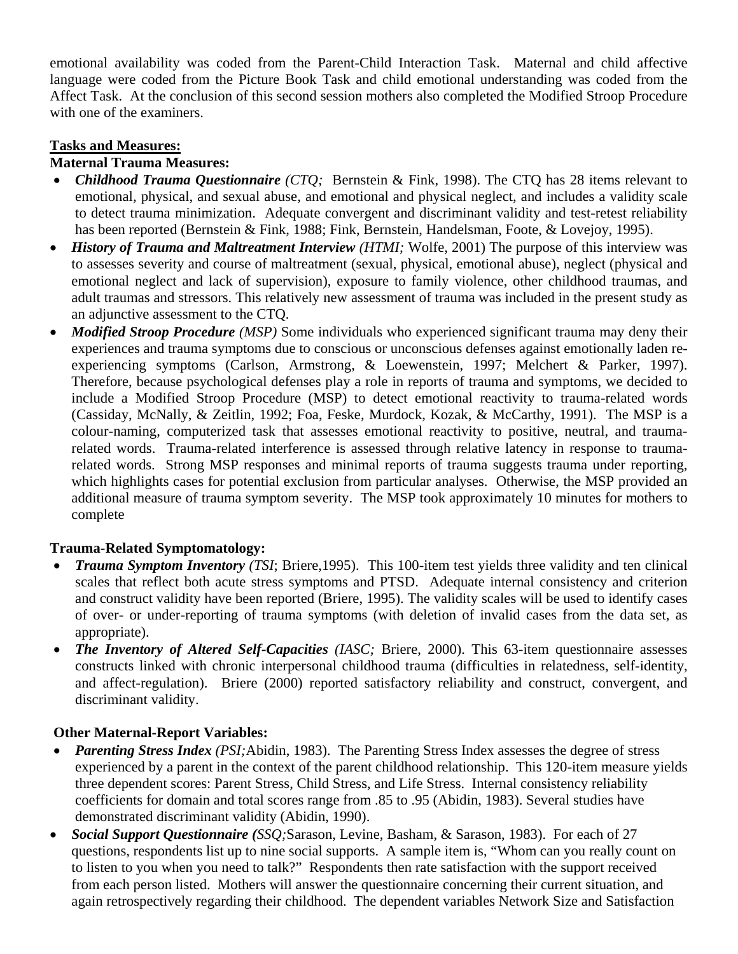emotional availability was coded from the Parent-Child Interaction Task. Maternal and child affective language were coded from the Picture Book Task and child emotional understanding was coded from the Affect Task. At the conclusion of this second session mothers also completed the Modified Stroop Procedure with one of the examiners.

# **Tasks and Measures:**

## **Maternal Trauma Measures:**

- *Childhood Trauma Questionnaire (CTQ;* Bernstein & Fink, 1998). The CTQ has 28 items relevant to emotional, physical, and sexual abuse, and emotional and physical neglect, and includes a validity scale to detect trauma minimization. Adequate convergent and discriminant validity and test-retest reliability has been reported (Bernstein & Fink, 1988; Fink, Bernstein, Handelsman, Foote, & Lovejoy, 1995).
- *History of Trauma and Maltreatment Interview (HTMI; Wolfe, 2001)* The purpose of this interview was to assesses severity and course of maltreatment (sexual, physical, emotional abuse), neglect (physical and emotional neglect and lack of supervision), exposure to family violence, other childhood traumas, and adult traumas and stressors. This relatively new assessment of trauma was included in the present study as an adjunctive assessment to the CTQ.
- *Modified Stroop Procedure (MSP)* Some individuals who experienced significant trauma may deny their experiences and trauma symptoms due to conscious or unconscious defenses against emotionally laden reexperiencing symptoms (Carlson, Armstrong, & Loewenstein, 1997; Melchert & Parker, 1997). Therefore, because psychological defenses play a role in reports of trauma and symptoms, we decided to include a Modified Stroop Procedure (MSP) to detect emotional reactivity to trauma-related words (Cassiday, McNally, & Zeitlin, 1992; Foa, Feske, Murdock, Kozak, & McCarthy, 1991). The MSP is a colour-naming, computerized task that assesses emotional reactivity to positive, neutral, and traumarelated words. Trauma-related interference is assessed through relative latency in response to traumarelated words. Strong MSP responses and minimal reports of trauma suggests trauma under reporting, which highlights cases for potential exclusion from particular analyses. Otherwise, the MSP provided an additional measure of trauma symptom severity. The MSP took approximately 10 minutes for mothers to complete

# **Trauma-Related Symptomatology:**

- *Trauma Symptom Inventory (TSI*; Briere,1995). This 100-item test yields three validity and ten clinical scales that reflect both acute stress symptoms and PTSD. Adequate internal consistency and criterion and construct validity have been reported (Briere, 1995). The validity scales will be used to identify cases of over- or under-reporting of trauma symptoms (with deletion of invalid cases from the data set, as appropriate).
- *The Inventory of Altered Self-Capacities (IASC;* Briere, 2000). This 63-item questionnaire assesses constructs linked with chronic interpersonal childhood trauma (difficulties in relatedness, self-identity, and affect-regulation). Briere (2000) reported satisfactory reliability and construct, convergent, and discriminant validity.

# **Other Maternal-Report Variables:**

- *Parenting Stress Index (PSI; Abidin, 1983).* The Parenting Stress Index assesses the degree of stress experienced by a parent in the context of the parent childhood relationship. This 120-item measure yields three dependent scores: Parent Stress, Child Stress, and Life Stress. Internal consistency reliability coefficients for domain and total scores range from .85 to .95 (Abidin, 1983). Several studies have demonstrated discriminant validity (Abidin, 1990).
- *Social Support Questionnaire (SSQ;*Sarason, Levine, Basham, & Sarason, 1983). For each of 27 questions, respondents list up to nine social supports. A sample item is, "Whom can you really count on to listen to you when you need to talk?" Respondents then rate satisfaction with the support received from each person listed. Mothers will answer the questionnaire concerning their current situation, and again retrospectively regarding their childhood. The dependent variables Network Size and Satisfaction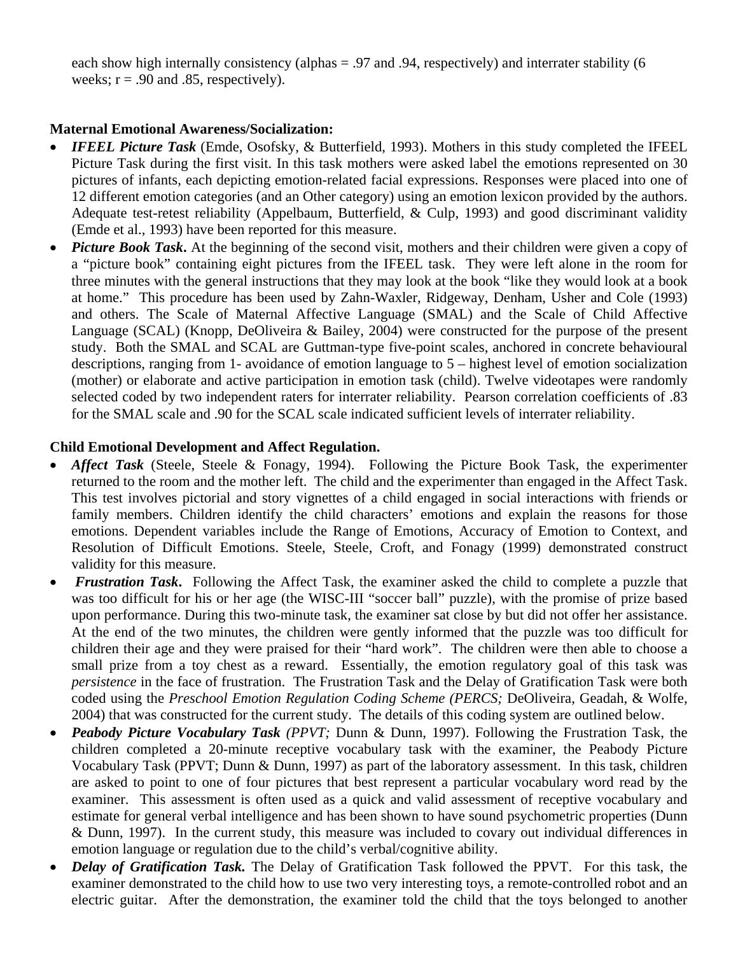each show high internally consistency (alphas = .97 and .94, respectively) and interrater stability (6 weeks;  $r = .90$  and  $.85$ , respectively).

# **Maternal Emotional Awareness/Socialization:**

- *IFEEL Picture Task* (Emde, Osofsky, & Butterfield, 1993). Mothers in this study completed the IFEEL Picture Task during the first visit. In this task mothers were asked label the emotions represented on 30 pictures of infants, each depicting emotion-related facial expressions. Responses were placed into one of 12 different emotion categories (and an Other category) using an emotion lexicon provided by the authors. Adequate test-retest reliability (Appelbaum, Butterfield, & Culp, 1993) and good discriminant validity (Emde et al., 1993) have been reported for this measure.
- *Picture Book Task*. At the beginning of the second visit, mothers and their children were given a copy of a "picture book" containing eight pictures from the IFEEL task. They were left alone in the room for three minutes with the general instructions that they may look at the book "like they would look at a book at home." This procedure has been used by Zahn-Waxler, Ridgeway, Denham, Usher and Cole (1993) and others. The Scale of Maternal Affective Language (SMAL) and the Scale of Child Affective Language (SCAL) (Knopp, DeOliveira & Bailey, 2004) were constructed for the purpose of the present study. Both the SMAL and SCAL are Guttman-type five-point scales, anchored in concrete behavioural descriptions, ranging from 1- avoidance of emotion language to 5 – highest level of emotion socialization (mother) or elaborate and active participation in emotion task (child). Twelve videotapes were randomly selected coded by two independent raters for interrater reliability. Pearson correlation coefficients of .83 for the SMAL scale and .90 for the SCAL scale indicated sufficient levels of interrater reliability.

## **Child Emotional Development and Affect Regulation.**

- *Affect Task* (Steele, Steele & Fonagy, 1994). Following the Picture Book Task, the experimenter returned to the room and the mother left. The child and the experimenter than engaged in the Affect Task. This test involves pictorial and story vignettes of a child engaged in social interactions with friends or family members. Children identify the child characters' emotions and explain the reasons for those emotions. Dependent variables include the Range of Emotions, Accuracy of Emotion to Context, and Resolution of Difficult Emotions. Steele, Steele, Croft, and Fonagy (1999) demonstrated construct validity for this measure.
- *Frustration Task***.** Following the Affect Task, the examiner asked the child to complete a puzzle that was too difficult for his or her age (the WISC-III "soccer ball" puzzle), with the promise of prize based upon performance. During this two-minute task, the examiner sat close by but did not offer her assistance. At the end of the two minutes, the children were gently informed that the puzzle was too difficult for children their age and they were praised for their "hard work". The children were then able to choose a small prize from a toy chest as a reward. Essentially, the emotion regulatory goal of this task was *persistence* in the face of frustration. The Frustration Task and the Delay of Gratification Task were both coded using the *Preschool Emotion Regulation Coding Scheme (PERCS;* DeOliveira, Geadah, & Wolfe, 2004) that was constructed for the current study. The details of this coding system are outlined below.
- *Peabody Picture Vocabulary Task (PPVT;* Dunn & Dunn, 1997). Following the Frustration Task, the children completed a 20-minute receptive vocabulary task with the examiner, the Peabody Picture Vocabulary Task (PPVT; Dunn & Dunn, 1997) as part of the laboratory assessment. In this task, children are asked to point to one of four pictures that best represent a particular vocabulary word read by the examiner. This assessment is often used as a quick and valid assessment of receptive vocabulary and estimate for general verbal intelligence and has been shown to have sound psychometric properties (Dunn & Dunn, 1997). In the current study, this measure was included to covary out individual differences in emotion language or regulation due to the child's verbal/cognitive ability.
- *Delay of Gratification Task.* The Delay of Gratification Task followed the PPVT. For this task, the examiner demonstrated to the child how to use two very interesting toys, a remote-controlled robot and an electric guitar. After the demonstration, the examiner told the child that the toys belonged to another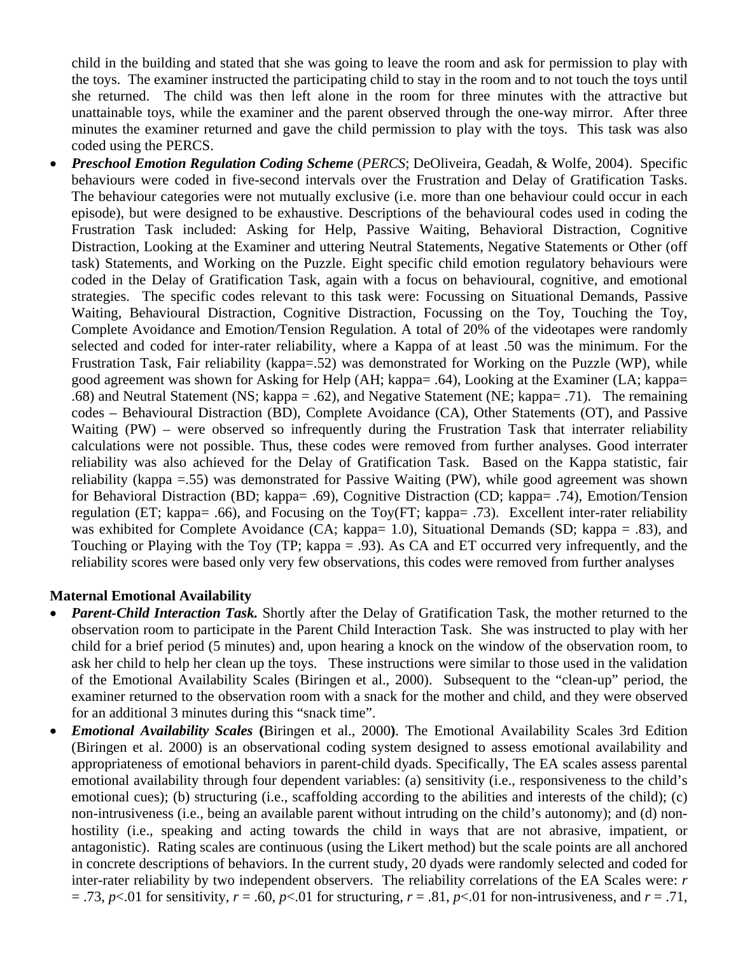child in the building and stated that she was going to leave the room and ask for permission to play with the toys. The examiner instructed the participating child to stay in the room and to not touch the toys until she returned. The child was then left alone in the room for three minutes with the attractive but unattainable toys, while the examiner and the parent observed through the one-way mirror. After three minutes the examiner returned and gave the child permission to play with the toys. This task was also coded using the PERCS.

• *Preschool Emotion Regulation Coding Scheme* (*PERCS*; DeOliveira, Geadah, & Wolfe, 2004). Specific behaviours were coded in five-second intervals over the Frustration and Delay of Gratification Tasks. The behaviour categories were not mutually exclusive (i.e. more than one behaviour could occur in each episode), but were designed to be exhaustive. Descriptions of the behavioural codes used in coding the Frustration Task included: Asking for Help, Passive Waiting, Behavioral Distraction, Cognitive Distraction, Looking at the Examiner and uttering Neutral Statements, Negative Statements or Other (off task) Statements, and Working on the Puzzle. Eight specific child emotion regulatory behaviours were coded in the Delay of Gratification Task, again with a focus on behavioural, cognitive, and emotional strategies. The specific codes relevant to this task were: Focussing on Situational Demands, Passive Waiting, Behavioural Distraction, Cognitive Distraction, Focussing on the Toy, Touching the Toy, Complete Avoidance and Emotion/Tension Regulation. A total of 20% of the videotapes were randomly selected and coded for inter-rater reliability, where a Kappa of at least .50 was the minimum. For the Frustration Task, Fair reliability (kappa=.52) was demonstrated for Working on the Puzzle (WP), while good agreement was shown for Asking for Help (AH; kappa= .64), Looking at the Examiner (LA; kappa= .68) and Neutral Statement (NS; kappa = .62), and Negative Statement (NE; kappa= .71). The remaining codes – Behavioural Distraction (BD), Complete Avoidance (CA), Other Statements (OT), and Passive Waiting (PW) – were observed so infrequently during the Frustration Task that interrater reliability calculations were not possible. Thus, these codes were removed from further analyses. Good interrater reliability was also achieved for the Delay of Gratification Task. Based on the Kappa statistic, fair reliability (kappa =.55) was demonstrated for Passive Waiting (PW), while good agreement was shown for Behavioral Distraction (BD; kappa= .69), Cognitive Distraction (CD; kappa= .74), Emotion/Tension regulation (ET; kappa= .66), and Focusing on the Toy(FT; kappa= .73). Excellent inter-rater reliability was exhibited for Complete Avoidance (CA; kappa= 1.0), Situational Demands (SD; kappa = .83), and Touching or Playing with the Toy (TP; kappa = .93). As CA and ET occurred very infrequently, and the reliability scores were based only very few observations, this codes were removed from further analyses

## **Maternal Emotional Availability**

- *Parent-Child Interaction Task.* Shortly after the Delay of Gratification Task, the mother returned to the observation room to participate in the Parent Child Interaction Task. She was instructed to play with her child for a brief period (5 minutes) and, upon hearing a knock on the window of the observation room, to ask her child to help her clean up the toys. These instructions were similar to those used in the validation of the Emotional Availability Scales (Biringen et al., 2000). Subsequent to the "clean-up" period, the examiner returned to the observation room with a snack for the mother and child, and they were observed for an additional 3 minutes during this "snack time".
- *Emotional Availability Scales* **(**Biringen et al., 2000**)**. The Emotional Availability Scales 3rd Edition (Biringen et al. 2000) is an observational coding system designed to assess emotional availability and appropriateness of emotional behaviors in parent-child dyads. Specifically, The EA scales assess parental emotional availability through four dependent variables: (a) sensitivity (i.e., responsiveness to the child's emotional cues); (b) structuring (i.e., scaffolding according to the abilities and interests of the child); (c) non-intrusiveness (i.e., being an available parent without intruding on the child's autonomy); and (d) nonhostility (i.e., speaking and acting towards the child in ways that are not abrasive, impatient, or antagonistic). Rating scales are continuous (using the Likert method) but the scale points are all anchored in concrete descriptions of behaviors. In the current study, 20 dyads were randomly selected and coded for inter-rater reliability by two independent observers. The reliability correlations of the EA Scales were: *r*  $= .73$ ,  $p<.01$  for sensitivity,  $r = .60$ ,  $p<.01$  for structuring,  $r = .81$ ,  $p<.01$  for non-intrusiveness, and  $r = .71$ ,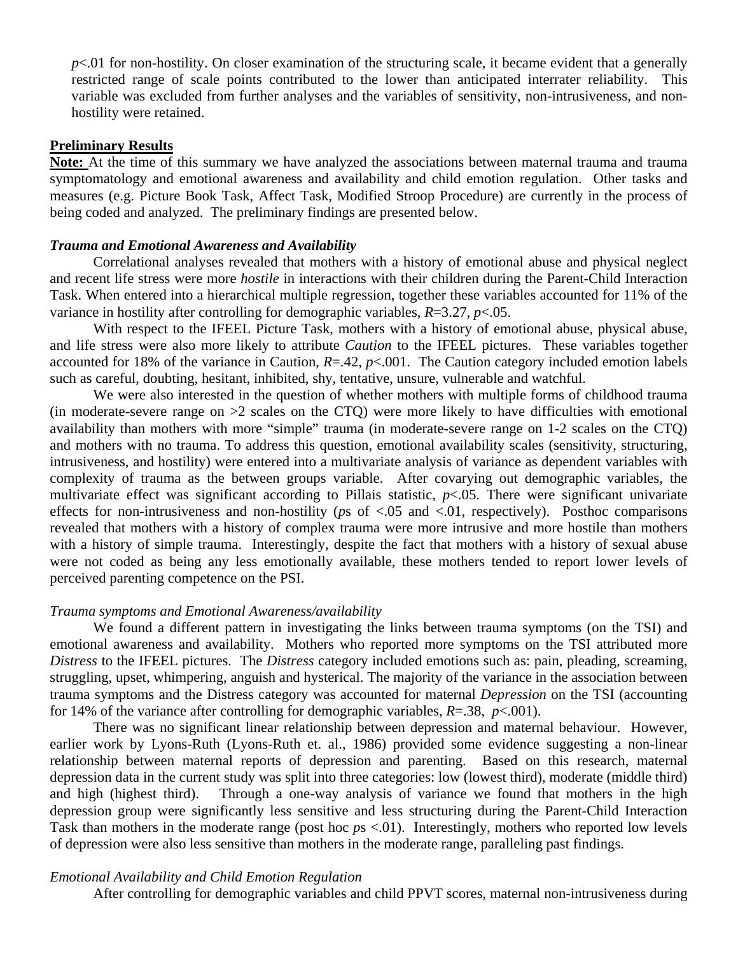$p$ <.01 for non-hostility. On closer examination of the structuring scale, it became evident that a generally restricted range of scale points contributed to the lower than anticipated interrater reliability. This variable was excluded from further analyses and the variables of sensitivity, non-intrusiveness, and nonhostility were retained.

## **Preliminary Results**

**Note:** At the time of this summary we have analyzed the associations between maternal trauma and trauma symptomatology and emotional awareness and availability and child emotion regulation. Other tasks and measures (e.g. Picture Book Task, Affect Task, Modified Stroop Procedure) are currently in the process of being coded and analyzed. The preliminary findings are presented below.

## *Trauma and Emotional Awareness and Availability*

Correlational analyses revealed that mothers with a history of emotional abuse and physical neglect and recent life stress were more *hostile* in interactions with their children during the Parent-Child Interaction Task. When entered into a hierarchical multiple regression, together these variables accounted for 11% of the variance in hostility after controlling for demographic variables, *R*=3.27, *p*<.05.

With respect to the IFEEL Picture Task, mothers with a history of emotional abuse, physical abuse, and life stress were also more likely to attribute *Caution* to the IFEEL pictures. These variables together accounted for 18% of the variance in Caution, *R*=.42, *p*<.001. The Caution category included emotion labels such as careful, doubting, hesitant, inhibited, shy, tentative, unsure, vulnerable and watchful.

We were also interested in the question of whether mothers with multiple forms of childhood trauma (in moderate-severe range on  $>2$  scales on the CTQ) were more likely to have difficulties with emotional availability than mothers with more "simple" trauma (in moderate-severe range on 1-2 scales on the CTQ) and mothers with no trauma. To address this question, emotional availability scales (sensitivity, structuring, intrusiveness, and hostility) were entered into a multivariate analysis of variance as dependent variables with complexity of trauma as the between groups variable. After covarying out demographic variables, the multivariate effect was significant according to Pillais statistic, *p*<.05. There were significant univariate effects for non-intrusiveness and non-hostility (*p*s of <.05 and <.01, respectively). Posthoc comparisons revealed that mothers with a history of complex trauma were more intrusive and more hostile than mothers with a history of simple trauma. Interestingly, despite the fact that mothers with a history of sexual abuse were not coded as being any less emotionally available, these mothers tended to report lower levels of perceived parenting competence on the PSI.

#### *Trauma symptoms and Emotional Awareness/availability*

We found a different pattern in investigating the links between trauma symptoms (on the TSI) and emotional awareness and availability. Mothers who reported more symptoms on the TSI attributed more *Distress* to the IFEEL pictures. The *Distress* category included emotions such as: pain, pleading, screaming, struggling, upset, whimpering, anguish and hysterical. The majority of the variance in the association between trauma symptoms and the Distress category was accounted for maternal *Depression* on the TSI (accounting for 14% of the variance after controlling for demographic variables, *R*=.38, *p*<.001).

 There was no significant linear relationship between depression and maternal behaviour. However, earlier work by Lyons-Ruth (Lyons-Ruth et. al., 1986) provided some evidence suggesting a non-linear relationship between maternal reports of depression and parenting. Based on this research, maternal depression data in the current study was split into three categories: low (lowest third), moderate (middle third) and high (highest third). Through a one-way analysis of variance we found that mothers in the high depression group were significantly less sensitive and less structuring during the Parent-Child Interaction Task than mothers in the moderate range (post hoc *ps* <.01). Interestingly, mothers who reported low levels of depression were also less sensitive than mothers in the moderate range, paralleling past findings.

#### *Emotional Availability and Child Emotion Regulation*

After controlling for demographic variables and child PPVT scores, maternal non-intrusiveness during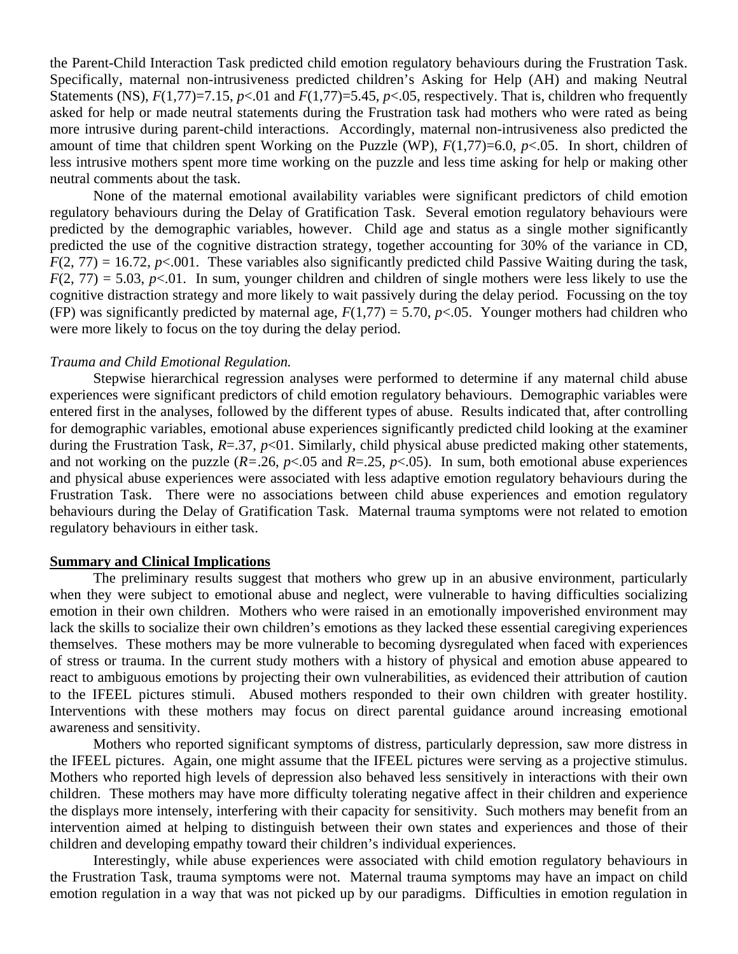the Parent-Child Interaction Task predicted child emotion regulatory behaviours during the Frustration Task. Specifically, maternal non-intrusiveness predicted children's Asking for Help (AH) and making Neutral Statements (NS),  $F(1,77)=7.15$ ,  $p<.01$  and  $F(1,77)=5.45$ ,  $p<.05$ , respectively. That is, children who frequently asked for help or made neutral statements during the Frustration task had mothers who were rated as being more intrusive during parent-child interactions. Accordingly, maternal non-intrusiveness also predicted the amount of time that children spent Working on the Puzzle (WP), *F*(1,77)=6.0, *p*<.05. In short, children of less intrusive mothers spent more time working on the puzzle and less time asking for help or making other neutral comments about the task.

 None of the maternal emotional availability variables were significant predictors of child emotion regulatory behaviours during the Delay of Gratification Task. Several emotion regulatory behaviours were predicted by the demographic variables, however. Child age and status as a single mother significantly predicted the use of the cognitive distraction strategy, together accounting for 30% of the variance in CD,  $F(2, 77) = 16.72$ ,  $p \le 0.001$ . These variables also significantly predicted child Passive Waiting during the task,  $F(2, 77) = 5.03$ ,  $p<0.01$ . In sum, younger children and children of single mothers were less likely to use the cognitive distraction strategy and more likely to wait passively during the delay period. Focussing on the toy (FP) was significantly predicted by maternal age,  $F(1,77) = 5.70$ ,  $p<0.05$ . Younger mothers had children who were more likely to focus on the toy during the delay period.

#### *Trauma and Child Emotional Regulation.*

Stepwise hierarchical regression analyses were performed to determine if any maternal child abuse experiences were significant predictors of child emotion regulatory behaviours. Demographic variables were entered first in the analyses, followed by the different types of abuse. Results indicated that, after controlling for demographic variables, emotional abuse experiences significantly predicted child looking at the examiner during the Frustration Task, *R*=.37, *p*<01. Similarly, child physical abuse predicted making other statements, and not working on the puzzle  $(R=.26, p<.05$  and  $R=.25, p<.05)$ . In sum, both emotional abuse experiences and physical abuse experiences were associated with less adaptive emotion regulatory behaviours during the Frustration Task. There were no associations between child abuse experiences and emotion regulatory behaviours during the Delay of Gratification Task. Maternal trauma symptoms were not related to emotion regulatory behaviours in either task.

#### **Summary and Clinical Implications**

The preliminary results suggest that mothers who grew up in an abusive environment, particularly when they were subject to emotional abuse and neglect, were vulnerable to having difficulties socializing emotion in their own children. Mothers who were raised in an emotionally impoverished environment may lack the skills to socialize their own children's emotions as they lacked these essential caregiving experiences themselves. These mothers may be more vulnerable to becoming dysregulated when faced with experiences of stress or trauma. In the current study mothers with a history of physical and emotion abuse appeared to react to ambiguous emotions by projecting their own vulnerabilities, as evidenced their attribution of caution to the IFEEL pictures stimuli. Abused mothers responded to their own children with greater hostility. Interventions with these mothers may focus on direct parental guidance around increasing emotional awareness and sensitivity.

Mothers who reported significant symptoms of distress, particularly depression, saw more distress in the IFEEL pictures. Again, one might assume that the IFEEL pictures were serving as a projective stimulus. Mothers who reported high levels of depression also behaved less sensitively in interactions with their own children. These mothers may have more difficulty tolerating negative affect in their children and experience the displays more intensely, interfering with their capacity for sensitivity. Such mothers may benefit from an intervention aimed at helping to distinguish between their own states and experiences and those of their children and developing empathy toward their children's individual experiences.

Interestingly, while abuse experiences were associated with child emotion regulatory behaviours in the Frustration Task, trauma symptoms were not. Maternal trauma symptoms may have an impact on child emotion regulation in a way that was not picked up by our paradigms. Difficulties in emotion regulation in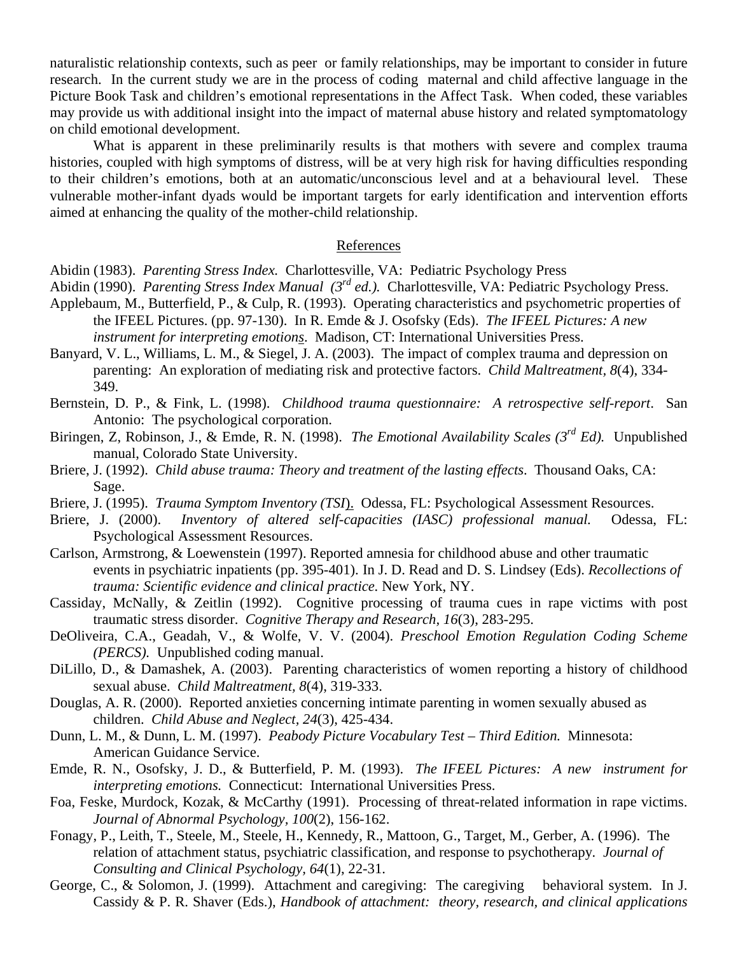naturalistic relationship contexts, such as peer or family relationships, may be important to consider in future research. In the current study we are in the process of coding maternal and child affective language in the Picture Book Task and children's emotional representations in the Affect Task. When coded, these variables may provide us with additional insight into the impact of maternal abuse history and related symptomatology on child emotional development.

What is apparent in these preliminarily results is that mothers with severe and complex trauma histories, coupled with high symptoms of distress, will be at very high risk for having difficulties responding to their children's emotions, both at an automatic/unconscious level and at a behavioural level. These vulnerable mother-infant dyads would be important targets for early identification and intervention efforts aimed at enhancing the quality of the mother-child relationship.

## References

Abidin (1983). *Parenting Stress Index.* Charlottesville, VA: Pediatric Psychology Press

- Abidin (1990). *Parenting Stress Index Manual (3rd ed.).* Charlottesville, VA: Pediatric Psychology Press. Applebaum, M., Butterfield, P., & Culp, R. (1993). Operating characteristics and psychometric properties of the IFEEL Pictures. (pp. 97-130). In R. Emde & J. Osofsky (Eds). *The IFEEL Pictures: A new instrument for interpreting emotions*. Madison, CT: International Universities Press.
- Banyard, V. L., Williams, L. M., & Siegel, J. A. (2003). The impact of complex trauma and depression on parenting: An exploration of mediating risk and protective factors. *Child Maltreatment, 8*(4), 334- 349.
- Bernstein, D. P., & Fink, L. (1998). *Childhood trauma questionnaire: A retrospective self-report*. San Antonio: The psychological corporation.
- Biringen, Z, Robinson, J., & Emde, R. N. (1998). *The Emotional Availability Scales (3rd Ed).* Unpublished manual, Colorado State University.
- Briere, J. (1992). *Child abuse trauma: Theory and treatment of the lasting effects*. Thousand Oaks, CA: Sage.
- Briere, J. (1995). *Trauma Symptom Inventory (TSI*). Odessa, FL: Psychological Assessment Resources.
- Briere, J. (2000). *Inventory of altered self-capacities (IASC) professional manual.* Odessa, FL: Psychological Assessment Resources.
- Carlson, Armstrong, & Loewenstein (1997). Reported amnesia for childhood abuse and other traumatic events in psychiatric inpatients (pp. 395-401). In J. D. Read and D. S. Lindsey (Eds). *Recollections of trauma: Scientific evidence and clinical practice.* New York, NY.
- Cassiday, McNally, & Zeitlin (1992). Cognitive processing of trauma cues in rape victims with post traumatic stress disorder. *Cognitive Therapy and Research, 16*(3), 283-295.
- DeOliveira, C.A., Geadah, V., & Wolfe, V. V. (2004). *Preschool Emotion Regulation Coding Scheme (PERCS).* Unpublished coding manual.
- DiLillo, D., & Damashek, A. (2003). Parenting characteristics of women reporting a history of childhood sexual abuse. *Child Maltreatment, 8*(4), 319-333.
- Douglas, A. R. (2000). Reported anxieties concerning intimate parenting in women sexually abused as children. *Child Abuse and Neglect, 24*(3), 425-434.
- Dunn, L. M., & Dunn, L. M. (1997). *Peabody Picture Vocabulary Test Third Edition.* Minnesota: American Guidance Service.
- Emde, R. N., Osofsky, J. D., & Butterfield, P. M. (1993). *The IFEEL Pictures: A new instrument for interpreting emotions.* Connecticut: International Universities Press.
- Foa, Feske, Murdock, Kozak, & McCarthy (1991). Processing of threat-related information in rape victims. *Journal of Abnormal Psychology, 100*(2), 156-162.
- Fonagy, P., Leith, T., Steele, M., Steele, H., Kennedy, R., Mattoon, G., Target, M., Gerber, A. (1996). The relation of attachment status, psychiatric classification, and response to psychotherapy*. Journal of Consulting and Clinical Psychology, 64*(1), 22-31.
- George, C., & Solomon, J. (1999). Attachment and caregiving: The caregiving behavioral system. In J. Cassidy & P. R. Shaver (Eds.), *Handbook of attachment: theory, research, and clinical applications*